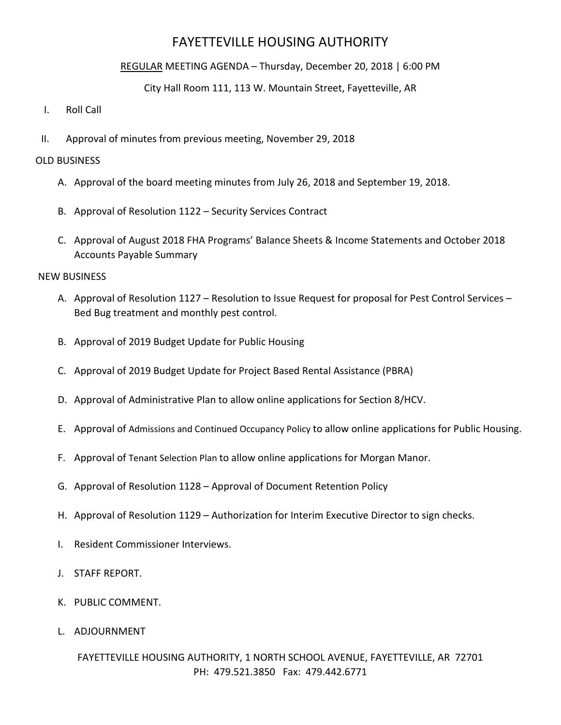# FAYETTEVILLE HOUSING AUTHORITY

### REGULAR MEETING AGENDA – Thursday, December 20, 2018 | 6:00 PM

## City Hall Room 111, 113 W. Mountain Street, Fayetteville, AR

- I. Roll Call
- II. Approval of minutes from previous meeting, November 29, 2018

#### OLD BUSINESS

- A. Approval of the board meeting minutes from July 26, 2018 and September 19, 2018.
- B. Approval of Resolution 1122 Security Services Contract
- C. Approval of August 2018 FHA Programs' Balance Sheets & Income Statements and October 2018 Accounts Payable Summary

#### NEW BUSINESS

- A. Approval of Resolution 1127 Resolution to Issue Request for proposal for Pest Control Services Bed Bug treatment and monthly pest control.
- B. Approval of 2019 Budget Update for Public Housing
- C. Approval of 2019 Budget Update for Project Based Rental Assistance (PBRA)
- D. Approval of Administrative Plan to allow online applications for Section 8/HCV.
- E. Approval of Admissions and Continued Occupancy Policy to allow online applications for Public Housing.
- F. Approval of Tenant Selection Plan to allow online applications for Morgan Manor.
- G. Approval of Resolution 1128 Approval of Document Retention Policy
- H. Approval of Resolution 1129 Authorization for Interim Executive Director to sign checks.
- I. Resident Commissioner Interviews.
- J. STAFF REPORT.
- K. PUBLIC COMMENT.
- L. ADJOURNMENT

## FAYETTEVILLE HOUSING AUTHORITY, 1 NORTH SCHOOL AVENUE, FAYETTEVILLE, AR 72701 PH: 479.521.3850 Fax: 479.442.6771